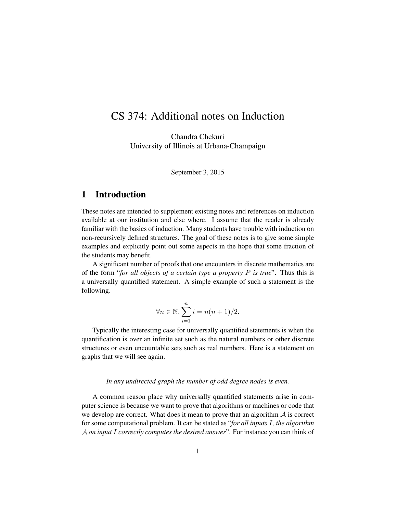# CS 374: Additional notes on Induction

Chandra Chekuri University of Illinois at Urbana-Champaign

September 3, 2015

# 1 Introduction

These notes are intended to supplement existing notes and references on induction available at our institution and else where. I assume that the reader is already familiar with the basics of induction. Many students have trouble with induction on non-recursively defined structures. The goal of these notes is to give some simple examples and explicitly point out some aspects in the hope that some fraction of the students may benefit.

A significant number of proofs that one encounters in discrete mathematics are of the form "*for all objects of a certain type a property* P *is true*". Thus this is a universally quantified statement. A simple example of such a statement is the following.

$$
\forall n \in \mathbb{N}, \sum_{i=1}^{n} i = n(n+1)/2.
$$

Typically the interesting case for universally quantified statements is when the quantification is over an infinite set such as the natural numbers or other discrete structures or even uncountable sets such as real numbers. Here is a statement on graphs that we will see again.

*In any undirected graph the number of odd degree nodes is even.*

A common reason place why universally quantified statements arise in computer science is because we want to prove that algorithms or machines or code that we develop are correct. What does it mean to prove that an algorithm  $A$  is correct for some computational problem. It can be stated as "*for all inputs* I*, the algorithm* A *on input* I *correctly computes the desired answer*". For instance you can think of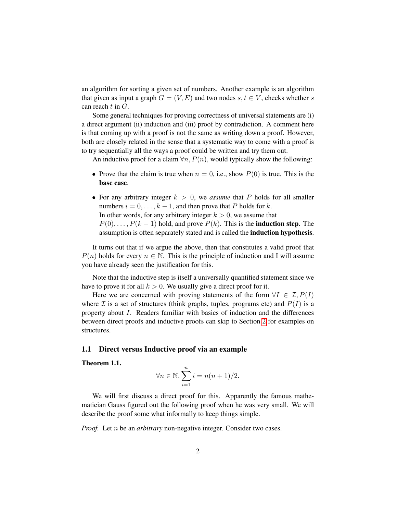an algorithm for sorting a given set of numbers. Another example is an algorithm that given as input a graph  $G = (V, E)$  and two nodes  $s, t \in V$ , checks whether s can reach  $t$  in  $G$ .

Some general techniques for proving correctness of universal statements are (i) a direct argument (ii) induction and (iii) proof by contradiction. A comment here is that coming up with a proof is not the same as writing down a proof. However, both are closely related in the sense that a systematic way to come with a proof is to try sequentially all the ways a proof could be written and try them out.

An inductive proof for a claim  $\forall n, P(n)$ , would typically show the following:

- Prove that the claim is true when  $n = 0$ , i.e., show  $P(0)$  is true. This is the base case.
- For any arbitrary integer  $k > 0$ , we *assume* that P holds for all smaller numbers  $i = 0, \ldots, k - 1$ , and then prove that P holds for k. In other words, for any arbitrary integer  $k > 0$ , we assume that  $P(0), \ldots, P(k-1)$  hold, and prove  $P(k)$ . This is the **induction step**. The assumption is often separately stated and is called the induction hypothesis.

It turns out that if we argue the above, then that constitutes a valid proof that  $P(n)$  holds for every  $n \in \mathbb{N}$ . This is the principle of induction and I will assume you have already seen the justification for this.

Note that the inductive step is itself a universally quantified statement since we have to prove it for all  $k > 0$ . We usually give a direct proof for it.

Here we are concerned with proving statements of the form  $\forall I \in \mathcal{I}, P(I)$ where  $\mathcal I$  is a set of structures (think graphs, tuples, programs etc) and  $P(I)$  is a property about I. Readers familiar with basics of induction and the differences between direct proofs and inductive proofs can skip to Section [2](#page-3-0) for examples on structures.

## 1.1 Direct versus Inductive proof via an example

Theorem 1.1.

$$
\forall n \in \mathbb{N}, \sum_{i=1}^{n} i = n(n+1)/2.
$$

We will first discuss a direct proof for this. Apparently the famous mathematician Gauss figured out the following proof when he was very small. We will describe the proof some what informally to keep things simple.

*Proof.* Let *n* be an *arbitrary* non-negative integer. Consider two cases.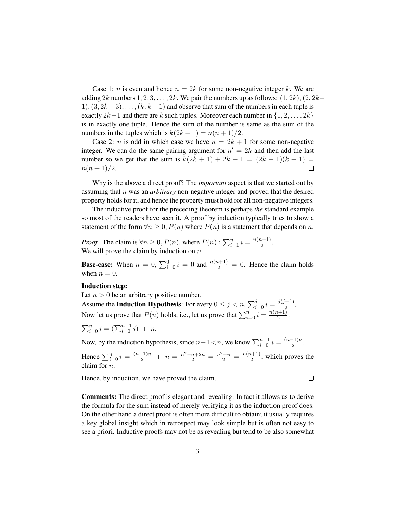Case 1: *n* is even and hence  $n = 2k$  for some non-negative integer k. We are adding 2k numbers  $1, 2, 3, \ldots, 2k$ . We pair the numbers up as follows:  $(1, 2k)$ ,  $(2, 2k−$  $1, (3, 2k-3), \ldots, (k, k+1)$  and observe that sum of the numbers in each tuple is exactly  $2k+1$  and there are k such tuples. Moreover each number in  $\{1, 2, \ldots, 2k\}$ is in exactly one tuple. Hence the sum of the number is same as the sum of the numbers in the tuples which is  $k(2k+1) = n(n+1)/2$ .

Case 2: *n* is odd in which case we have  $n = 2k + 1$  for some non-negative integer. We can do the same pairing argument for  $n' = 2k$  and then add the last number so we get that the sum is  $k(2k + 1) + 2k + 1 = (2k + 1)(k + 1) =$  $n(n+1)/2$ .  $\Box$ 

Why is the above a direct proof? The *important* aspect is that we started out by assuming that n was an *arbitrary* non-negative integer and proved that the desired property holds for it, and hence the property must hold for all non-negative integers.

The inductive proof for the preceding theorem is perhaps *the* standard example so most of the readers have seen it. A proof by induction typically tries to show a statement of the form  $\forall n \geq 0$ ,  $P(n)$  where  $P(n)$  is a statement that depends on n.

*Proof.* The claim is  $\forall n \geq 0, P(n)$ , where  $P(n): \sum_{i=1}^{n} i = \frac{n(n+1)}{2}$  $rac{i+1j}{2}$ . We will prove the claim by induction on  $n$ .

**Base-case:** When  $n = 0$ ,  $\sum_{i=0}^{0} i = 0$  and  $\frac{n(n+1)}{2} = 0$ . Hence the claim holds when  $n = 0$ .

### Induction step:

Let  $n > 0$  be an arbitrary positive number.

Assume the **Induction Hypothesis**: For every  $0 \le j < n$ ,  $\sum_{i=0}^{j} i = \frac{j(j+1)}{2}$  $rac{+1)}{2}$ . Now let us prove that  $P(n)$  holds, i.e., let us prove that  $\sum_{i=0}^{n} i = \frac{n(n+1)}{2}$  $\frac{\binom{n+1}{2}}{2}$ .

$$
\sum_{i=0}^{n} i = \left(\sum_{i=0}^{n-1} i\right) + n.
$$

Now, by the induction hypothesis, since  $n-1 < n$ , we know  $\sum_{i=0}^{n-1} i = \frac{(n-1)n}{2}$  $\frac{-1}{2}$ .

Hence  $\sum_{i=0}^{n} i = \frac{(n-1)n}{2} + n = \frac{n^2 - n + 2n}{2} = \frac{n^2 + n}{2} = \frac{n(n+1)}{2}$  $\frac{l+1}{2}$ , which proves the claim for n.

Hence, by induction, we have proved the claim.

 $\Box$ 

Comments: The direct proof is elegant and revealing. In fact it allows us to derive the formula for the sum instead of merely verifying it as the induction proof does. On the other hand a direct proof is often more difficult to obtain; it usually requires a key global insight which in retrospect may look simple but is often not easy to see a priori. Inductive proofs may not be as revealing but tend to be also somewhat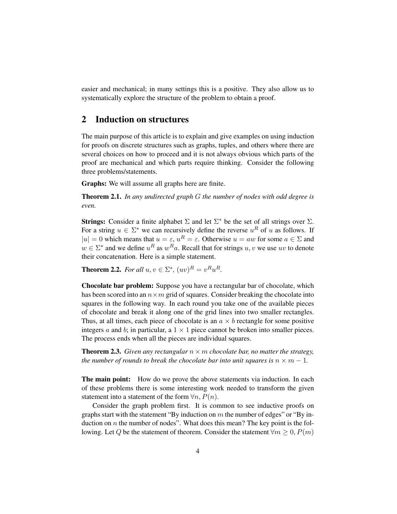easier and mechanical; in many settings this is a positive. They also allow us to systematically explore the structure of the problem to obtain a proof.

# <span id="page-3-0"></span>2 Induction on structures

The main purpose of this article is to explain and give examples on using induction for proofs on discrete structures such as graphs, tuples, and others where there are several choices on how to proceed and it is not always obvious which parts of the proof are mechanical and which parts require thinking. Consider the following three problems/statements.

Graphs: We will assume all graphs here are finite.

Theorem 2.1. *In any undirected graph* G *the number of nodes with odd degree is even.*

**Strings:** Consider a finite alphabet  $\Sigma$  and let  $\Sigma^*$  be the set of all strings over  $\Sigma$ . For a string  $u \in \Sigma^*$  we can recursively define the reverse  $u^R$  of u as follows. If  $|u| = 0$  which means that  $u = \varepsilon$ ,  $u^R = \varepsilon$ . Otherwise  $u = aw$  for some  $a \in \Sigma$  and  $w \in \Sigma^*$  and we define  $u^R$  as  $w^R a$ . Recall that for strings  $u, v$  we use  $uv$  to denote their concatenation. Here is a simple statement.

**Theorem 2.2.** *For all*  $u, v \in \Sigma^*$ ,  $(uv)^R = v^R u^R$ .

Chocolate bar problem: Suppose you have a rectangular bar of chocolate, which has been scored into an  $n \times m$  grid of squares. Consider breaking the chocolate into squares in the following way. In each round you take one of the available pieces of chocolate and break it along one of the grid lines into two smaller rectangles. Thus, at all times, each piece of chocolate is an  $a \times b$  rectangle for some positive integers a and b; in particular, a  $1 \times 1$  piece cannot be broken into smaller pieces. The process ends when all the pieces are individual squares.

**Theorem 2.3.** *Given any rectangular*  $n \times m$  *chocolate bar, no matter the strategy, the number of rounds to break the chocolate bar into unit squares is*  $n \times m - 1$ *.* 

The main point: How do we prove the above statements via induction. In each of these problems there is some interesting work needed to transform the given statement into a statement of the form  $\forall n, P(n)$ .

Consider the graph problem first. It is common to see inductive proofs on graphs start with the statement "By induction on  $m$  the number of edges" or "By induction on  $n$  the number of nodes". What does this mean? The key point is the following. Let Q be the statement of theorem. Consider the statement  $\forall m \geq 0, P(m)$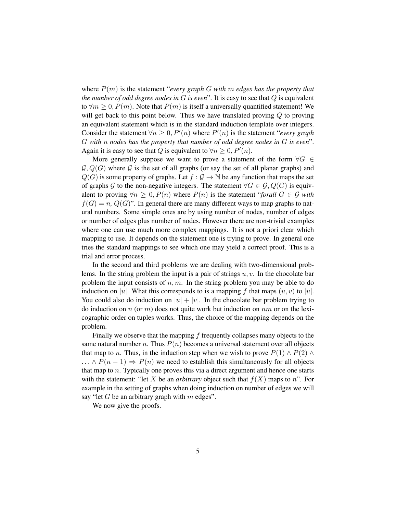where P(m) is the statement "*every graph* G *with* m *edges has the property that the number of odd degree nodes in* G *is even*". It is easy to see that Q is equivalent to  $\forall m \geq 0, P(m)$ . Note that  $P(m)$  is itself a universally quantified statement! We will get back to this point below. Thus we have translated proving  $Q$  to proving an equivalent statement which is in the standard induction template over integers. Consider the statement  $\forall n \geq 0, P'(n)$  where  $P'(n)$  is the statement "*every graph*" G *with* n *nodes has the property that number of odd degree nodes in* G *is even*". Again it is easy to see that Q is equivalent to  $\forall n \geq 0, P'(n)$ .

More generally suppose we want to prove a statement of the form  $\forall G \in$  $\mathcal{G}, Q(G)$  where  $\mathcal G$  is the set of all graphs (or say the set of all planar graphs) and  $Q(G)$  is some property of graphs. Let  $f : \mathcal{G} \to \mathbb{N}$  be any function that maps the set of graphs G to the non-negative integers. The statement  $\forall G \in \mathcal{G}, Q(G)$  is equivalent to proving  $\forall n \geq 0, P(n)$  where  $P(n)$  is the statement "*forall*  $G \in \mathcal{G}$  with  $f(G) = n$ ,  $Q(G)$ ". In general there are many different ways to map graphs to natural numbers. Some simple ones are by using number of nodes, number of edges or number of edges plus number of nodes. However there are non-trivial examples where one can use much more complex mappings. It is not a priori clear which mapping to use. It depends on the statement one is trying to prove. In general one tries the standard mappings to see which one may yield a correct proof. This is a trial and error process.

In the second and third problems we are dealing with two-dimensional problems. In the string problem the input is a pair of strings  $u, v$ . In the chocolate bar problem the input consists of  $n, m$ . In the string problem you may be able to do induction on |u|. What this corresponds to is a mapping f that maps  $(u, v)$  to |u|. You could also do induction on  $|u| + |v|$ . In the chocolate bar problem trying to do induction on  $n$  (or  $m$ ) does not quite work but induction on  $nm$  or on the lexicographic order on tuples works. Thus, the choice of the mapping depends on the problem.

Finally we observe that the mapping  $f$  frequently collapses many objects to the same natural number n. Thus  $P(n)$  becomes a universal statement over all objects that map to *n*. Thus, in the induction step when we wish to prove  $P(1) \wedge P(2) \wedge P(3)$  $\ldots \wedge P(n-1) \Rightarrow P(n)$  we need to establish this simultaneously for all objects that map to n. Typically one proves this via a direct argument and hence one starts with the statement: "let X be an *arbitrary* object such that  $f(X)$  maps to n". For example in the setting of graphs when doing induction on number of edges we will say "let G be an arbitrary graph with  $m$  edges".

We now give the proofs.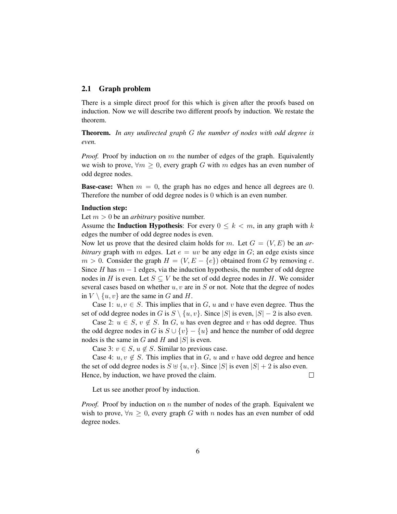### 2.1 Graph problem

There is a simple direct proof for this which is given after the proofs based on induction. Now we will describe two different proofs by induction. We restate the theorem.

Theorem. *In any undirected graph* G *the number of nodes with odd degree is even.*

*Proof.* Proof by induction on m the number of edges of the graph. Equivalently we wish to prove,  $\forall m \geq 0$ , every graph G with m edges has an even number of odd degree nodes.

**Base-case:** When  $m = 0$ , the graph has no edges and hence all degrees are 0. Therefore the number of odd degree nodes is 0 which is an even number.

### Induction step:

Let  $m > 0$  be an *arbitrary* positive number.

Assume the **Induction Hypothesis**: For every  $0 \leq k \leq m$ , in any graph with k edges the number of odd degree nodes is even.

Now let us prove that the desired claim holds for m. Let  $G = (V, E)$  be an *arbitrary* graph with m edges. Let  $e = uv$  be any edge in  $G$ ; an edge exists since  $m > 0$ . Consider the graph  $H = (V, E - \{e\})$  obtained from G by removing e. Since H has  $m - 1$  edges, via the induction hypothesis, the number of odd degree nodes in H is even. Let  $S \subseteq V$  be the set of odd degree nodes in H. We consider several cases based on whether  $u, v$  are in  $S$  or not. Note that the degree of nodes in  $V \setminus \{u, v\}$  are the same in G and H.

Case 1:  $u, v \in S$ . This implies that in G, u and v have even degree. Thus the set of odd degree nodes in G is  $S \setminus \{u, v\}$ . Since |S| is even,  $|S| - 2$  is also even.

Case 2:  $u \in S$ ,  $v \notin S$ . In G, u has even degree and v has odd degree. Thus the odd degree nodes in G is  $S \cup \{v\} - \{u\}$  and hence the number of odd degree nodes is the same in  $G$  and  $H$  and  $|S|$  is even.

Case 3:  $v \in S$ ,  $u \notin S$ . Similar to previous case.

Case 4:  $u, v \notin S$ . This implies that in G, u and v have odd degree and hence the set of odd degree nodes is  $S \cup \{u, v\}$ . Since |S| is even  $|S| + 2$  is also even. Hence, by induction, we have proved the claim.  $\Box$ 

Let us see another proof by induction.

*Proof.* Proof by induction on n the number of nodes of the graph. Equivalent we wish to prove,  $\forall n \geq 0$ , every graph G with n nodes has an even number of odd degree nodes.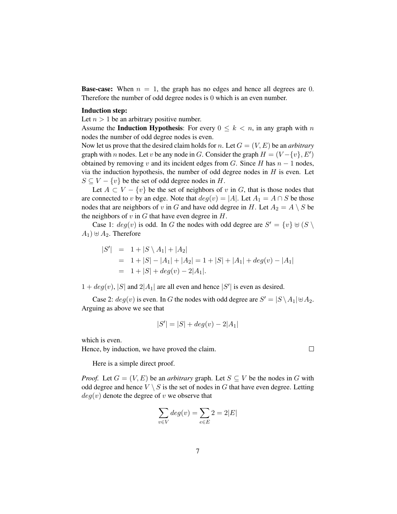**Base-case:** When  $n = 1$ , the graph has no edges and hence all degrees are 0. Therefore the number of odd degree nodes is 0 which is an even number.

#### Induction step:

Let  $n > 1$  be an arbitrary positive number.

Assume the **Induction Hypothesis**: For every  $0 \leq k \leq n$ , in any graph with n nodes the number of odd degree nodes is even.

Now let us prove that the desired claim holds for n. Let  $G = (V, E)$  be an *arbitrary* graph with n nodes. Let v be any node in G. Consider the graph  $H = (V - \{v\}, E')$ obtained by removing v and its incident edges from G. Since H has  $n - 1$  nodes, via the induction hypothesis, the number of odd degree nodes in  $H$  is even. Let  $S \subseteq V - \{v\}$  be the set of odd degree nodes in H.

Let  $A \subset V - \{v\}$  be the set of neighbors of v in G, that is those nodes that are connected to v by an edge. Note that  $deg(v) = |A|$ . Let  $A_1 = A \cap S$  be those nodes that are neighbors of v in G and have odd degree in H. Let  $A_2 = A \setminus S$  be the neighbors of  $v$  in  $G$  that have even degree in  $H$ .

Case 1:  $deg(v)$  is odd. In G the nodes with odd degree are  $S' = \{v\} \cup (S \setminus S')$  $A_1$ )  $\oplus$   $A_2$ . Therefore

$$
|S'| = 1 + |S \setminus A_1| + |A_2|
$$
  
= 1 + |S| - |A\_1| + |A\_2| = 1 + |S| + |A\_1| + deg(v) - |A\_1|  
= 1 + |S| + deg(v) - 2|A\_1|.

 $1 + deg(v)$ , |S| and  $2|A_1|$  are all even and hence |S'| is even as desired.

Case 2:  $deg(v)$  is even. In G the nodes with odd degree are  $S' = |S \setminus A_1| \oplus A_2$ . Arguing as above we see that

$$
|S'| = |S| + deg(v) - 2|A_1|
$$

which is even.

Hence, by induction, we have proved the claim.

Here is a simple direct proof.

*Proof.* Let  $G = (V, E)$  be an *arbitrary* graph. Let  $S \subseteq V$  be the nodes in G with odd degree and hence  $V \setminus S$  is the set of nodes in G that have even degree. Letting  $deg(v)$  denote the degree of v we observe that

$$
\sum_{v \in V} deg(v) = \sum_{e \in E} 2 = 2|E|
$$

 $\Box$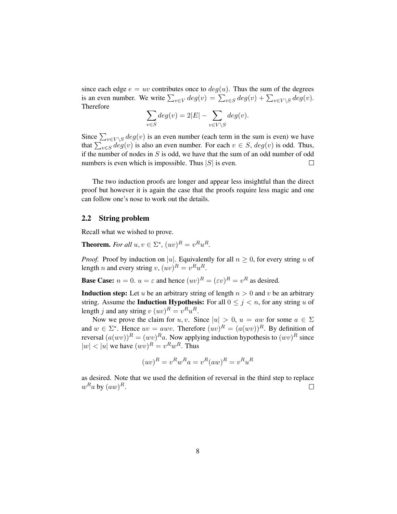since each edge  $e = uv$  contributes once to  $deg(u)$ . Thus the sum of the degrees is an even number. We write  $\sum_{v \in V} deg(v) = \sum_{v \in S} deg(v) + \sum_{v \in V \setminus S} deg(v)$ . Therefore

$$
\sum_{v \in S} deg(v) = 2|E| - \sum_{v \in V \setminus S} deg(v).
$$

Since  $\sum_{v \in V \setminus S} deg(v)$  is an even number (each term in the sum is even) we have that  $\sum_{v \in S} deg(v)$  is also an even number. For each  $v \in S$ ,  $deg(v)$  is odd. Thus, if the number of nodes in  $S$  is odd, we have that the sum of an odd number of odd numbers is even which is impossible. Thus  $|S|$  is even.  $\Box$ 

The two induction proofs are longer and appear less insightful than the direct proof but however it is again the case that the proofs require less magic and one can follow one's nose to work out the details.

# 2.2 String problem

Recall what we wished to prove.

**Theorem.** For all  $u, v \in \Sigma^*$ ,  $(uv)^R = v^R u^R$ .

*Proof.* Proof by induction on |u|. Equivalently for all  $n \geq 0$ , for every string u of length *n* and every string *v*,  $(uv)^R = v^Ru^R$ .

**Base Case:**  $n = 0$ .  $u = \varepsilon$  and hence  $(uv)^R = (\varepsilon v)^R = v^R$  as desired.

**Induction step:** Let u be an arbitrary string of length  $n > 0$  and v be an arbitrary string. Assume the **Induction Hypothesis:** For all  $0 \leq j \leq n$ , for any string u of length j and any string  $v(uv)^R = v^R u^R$ .

Now we prove the claim for u, v. Since  $|u| > 0$ ,  $u = aw$  for some  $a \in \Sigma$ and  $w \in \Sigma^*$ . Hence  $uv = awv$ . Therefore  $(uv)^R = (a(wv))^R$ . By definition of reversal  $(a(wv))^R = (wv)^{R}a$ . Now applying induction hypothesis to  $(wv)^R$  since  $|w| < |u|$  we have  $(wv)^R = v^R w^R$ . Thus

$$
(uv)^R = v^R w^R a = v^R (aw)^R = v^R u^R
$$

as desired. Note that we used the definition of reversal in the third step to replace  $w^Ra$  by  $(aw)^R$ .  $\Box$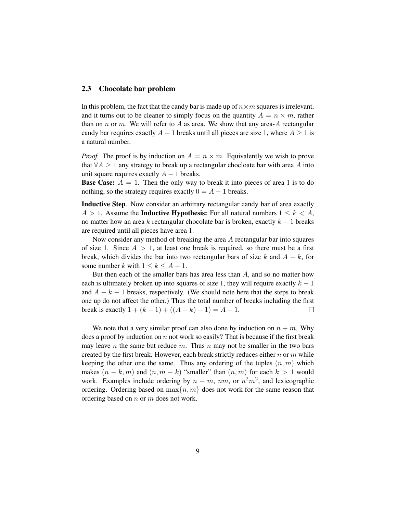### 2.3 Chocolate bar problem

In this problem, the fact that the candy bar is made up of  $n \times m$  squares is irrelevant, and it turns out to be cleaner to simply focus on the quantity  $A = n \times m$ , rather than on n or m. We will refer to A as area. We show that any area-A rectangular candy bar requires exactly  $A - 1$  breaks until all pieces are size 1, where  $A \ge 1$  is a natural number.

*Proof.* The proof is by induction on  $A = n \times m$ . Equivalently we wish to prove that  $\forall A \geq 1$  any strategy to break up a rectangular chocloate bar with area A into unit square requires exactly  $A - 1$  breaks.

**Base Case:**  $A = 1$ . Then the only way to break it into pieces of area 1 is to do nothing, so the strategy requires exactly  $0 = A - 1$  breaks.

Inductive Step. Now consider an arbitrary rectangular candy bar of area exactly  $A > 1$ . Assume the **Inductive Hypothesis:** For all natural numbers  $1 \leq k < A$ , no matter how an area k rectangular chocolate bar is broken, exactly  $k - 1$  breaks are required until all pieces have area 1.

Now consider any method of breaking the area A rectangular bar into squares of size 1. Since  $A > 1$ , at least one break is required, so there must be a first break, which divides the bar into two rectangular bars of size k and  $A - k$ , for some number k with  $1 \leq k \leq A - 1$ .

But then each of the smaller bars has area less than  $A$ , and so no matter how each is ultimately broken up into squares of size 1, they will require exactly  $k - 1$ and  $A - k - 1$  breaks, respectively. (We should note here that the steps to break one up do not affect the other.) Thus the total number of breaks including the first break is exactly  $1 + (k - 1) + ((A - k) - 1) = A - 1$ .  $\Box$ 

We note that a very similar proof can also done by induction on  $n + m$ . Why does a proof by induction on  $n$  not work so easily? That is because if the first break may leave n the same but reduce m. Thus n may not be smaller in the two bars created by the first break. However, each break strictly reduces either  $n \text{ or } m$  while keeping the other one the same. Thus any ordering of the tuples  $(n, m)$  which makes  $(n - k, m)$  and  $(n, m - k)$  "smaller" than  $(n, m)$  for each  $k > 1$  would work. Examples include ordering by  $n + m$ ,  $nm$ , or  $n^2m^2$ , and lexicographic ordering. Ordering based on  $\max\{n, m\}$  does not work for the same reason that ordering based on n or m does not work.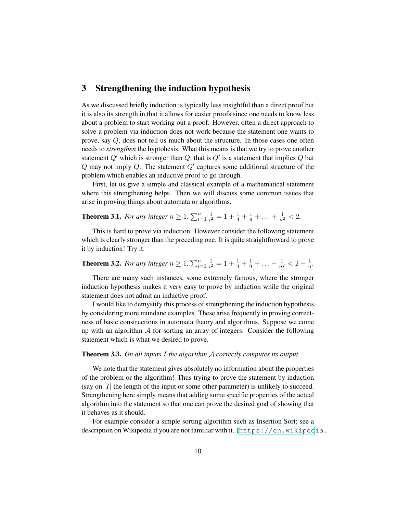# 3 Strengthening the induction hypothesis

As we discussed briefly induction is typically less insightful than a direct proof but it is also its strength in that it allows for easier proofs since one needs to know less about a problem to start working out a proof. However, often a direct approach to solve a problem via induction does not work because the statement one wants to prove, say Q, does not tell us much about the structure. In those cases one often needs to *strengthen* the hyptohesis. What this means is that we try to prove another statement  $Q'$  which is stronger than  $Q$ ; that is  $Q'$  is a statement that implies  $Q$  but  $Q$  may not imply  $Q$ . The statement  $Q'$  captures some additional structure of the problem which enables an inductive proof to go through.

First, let us give a simple and classical example of a mathematical statement where this strengthening helps. Then we will discuss some common issues that arise in proving things about automata or algorithms.

#### **Theorem 3.1.** For any integer  $n \geq 1$ ,  $\sum_{i=1}^{n} \frac{1}{i^2}$  $\frac{1}{i^2} = 1 + \frac{1}{4} + \frac{1}{9} + \ldots + \frac{1}{n^2} < 2.$

This is hard to prove via induction. However consider the following statement which is clearly stronger than the preceding one. It is quite straightforward to prove it by induction! Try it.

#### **Theorem 3.2.** For any integer  $n \geq 1$ ,  $\sum_{i=1}^{n} \frac{1}{i^2}$  $\frac{1}{i^2} = 1 + \frac{1}{4} + \frac{1}{9} + \ldots + \frac{1}{n^2} < 2 - \frac{1}{n}$  $\frac{1}{n}$ .

There are many such instances, some extremely famous, where the stronger induction hypothesis makes it very easy to prove by induction while the original statement does not admit an inductive proof.

I would like to demystify this process of strengthening the induction hypothesis by considering more mundane examples. These arise frequently in proving correctness of basic constructions in automata theory and algorithms. Suppose we come up with an algorithm  $A$  for sorting an array of integers. Consider the following statement which is what we desired to prove.

### Theorem 3.3. *On all inputs* I *the algorithm* A *correctly computes its output.*

We note that the statement gives absolutely no information about the properties of the problem or the algorithm! Thus trying to prove the statement by induction (say on  $|I|$  the length of the input or some other parameter) is unlikely to succeed. Strengthening here simply means that adding some specific properties of the actual algorithm into the statement so that one can prove the desired goal of showing that it behaves as it should.

For example consider a simple sorting algorithm such as Insertion Sort; see a description on Wikipedia if you are not familiar with it. ([https://en.wikiped](https://en.wikipedia.org/wiki/Insertion_sort)ia.